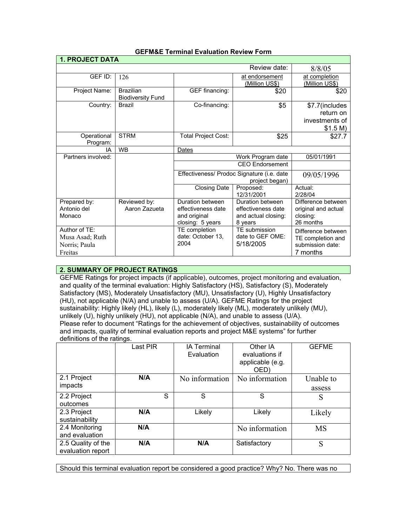| <b>1. PROJECT DATA</b>                                       |                                              |                                                                                        |                                                                          |                                                                         |  |
|--------------------------------------------------------------|----------------------------------------------|----------------------------------------------------------------------------------------|--------------------------------------------------------------------------|-------------------------------------------------------------------------|--|
|                                                              |                                              |                                                                                        | Review date:                                                             | 8/8/05                                                                  |  |
| GEF ID:                                                      | 126                                          |                                                                                        | at endorsement<br>(Million US\$)                                         | at completion<br>(Million US\$)                                         |  |
| Project Name:                                                | <b>Brazilian</b><br><b>Biodiversity Fund</b> | GEF financing:                                                                         | \$20                                                                     | \$20                                                                    |  |
| Country:                                                     | Brazil                                       | Co-financing:                                                                          | \$5                                                                      | \$7.7(includes<br>return on<br>investments of<br>\$1.5 M)               |  |
| Operational<br>Program:                                      | <b>STRM</b>                                  | <b>Total Project Cost:</b>                                                             | \$25                                                                     | \$27.7                                                                  |  |
| IA                                                           | <b>WB</b>                                    | Dates                                                                                  |                                                                          |                                                                         |  |
| Partners involved:                                           |                                              |                                                                                        | 05/01/1991                                                               |                                                                         |  |
|                                                              |                                              | <b>CEO</b> Endorsement<br>Effectiveness/ Prodoc Signature (i.e. date<br>project began) |                                                                          |                                                                         |  |
|                                                              |                                              |                                                                                        |                                                                          | 09/05/1996                                                              |  |
|                                                              |                                              | <b>Closing Date</b>                                                                    | Proposed:<br>12/31/2001                                                  | Actual:<br>2/28/04                                                      |  |
| Prepared by:<br>Antonio del<br>Monaco                        | Reviewed by:<br>Aaron Zazueta                | Duration between<br>effectiveness date<br>and original<br>closing: 5 years             | Duration between<br>effectiveness date<br>and actual closing:<br>8 years | Difference between<br>original and actual<br>closing:<br>26 months      |  |
| Author of TE:<br>Musa Asad; Ruth<br>Norris; Paula<br>Freitas |                                              | TE completion<br>date: October 13,<br>2004                                             | TE submission<br>date to GEF OME:<br>5/18/2005                           | Difference between<br>TE completion and<br>submission date:<br>7 months |  |

# **GEFM&E Terminal Evaluation Review Form**

# **2. SUMMARY OF PROJECT RATINGS**

GEFME Ratings for project impacts (if applicable), outcomes, project monitoring and evaluation, and quality of the terminal evaluation: Highly Satisfactory (HS), Satisfactory (S), Moderately Satisfactory (MS), Moderately Unsatisfactory (MU), Unsatisfactory (U), Highly Unsatisfactory (HU), not applicable (N/A) and unable to assess (U/A). GEFME Ratings for the project sustainability: Highly likely (HL), likely (L), moderately likely (ML), moderately unlikely (MU), unlikely (U), highly unlikely (HU), not applicable (N/A), and unable to assess (U/A). Please refer to document "Ratings for the achievement of objectives, sustainability of outcomes and impacts, quality of terminal evaluation reports and project M&E systems" for further definitions of the ratings.

|                                         | Last PIR | <b>IA Terminal</b><br>Evaluation | Other IA<br>evaluations if<br>applicable (e.g.<br>OED) | <b>GEFME</b>        |
|-----------------------------------------|----------|----------------------------------|--------------------------------------------------------|---------------------|
| 2.1 Project<br>impacts                  | N/A      | No information                   | No information                                         | Unable to<br>assess |
| 2.2 Project<br>outcomes                 | S        | S                                | S                                                      | S                   |
| 2.3 Project<br>sustainability           | N/A      | Likely                           | Likely                                                 | Likely              |
| 2.4 Monitoring<br>and evaluation        | N/A      |                                  | No information                                         | <b>MS</b>           |
| 2.5 Quality of the<br>evaluation report | N/A      | N/A                              | Satisfactory                                           | S                   |

Should this terminal evaluation report be considered a good practice? Why? No. There was no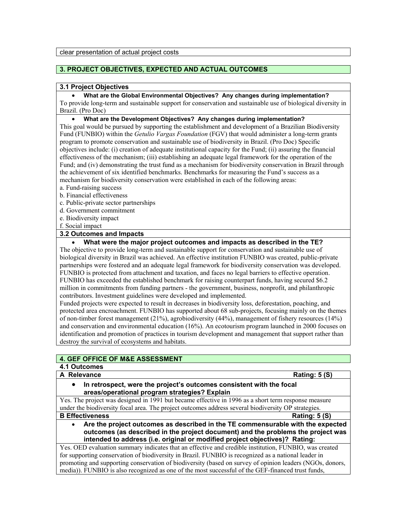# **3. PROJECT OBJECTIVES, EXPECTED AND ACTUAL OUTCOMES**

#### **3.1 Project Objectives**

• **What are the Global Environmental Objectives? Any changes during implementation?** To provide long-term and sustainable support for conservation and sustainable use of biological diversity in Brazil. (Pro Doc)

### • **What are the Development Objectives? Any changes during implementation?**

This goal would be pursued by supporting the establishment and development of a Brazilian Biodiversity Fund (FUNBIO) within the *Getulio Vargas Foundation* (FGV) that would administer a long-term grants program to promote conservation and sustainable use of biodiversity in Brazil. (Pro Doc) Specific objectives include: (i) creation of adequate institutional capacity for the Fund; (ii) assuring the financial effectiveness of the mechanism; (iii) establishing an adequate legal framework for the operation of the Fund; and (iv) demonstrating the trust fund as a mechanism for biodiversity conservation in Brazil through the achievement of six identified benchmarks. Benchmarks for measuring the Fund's success as a mechanism for biodiversity conservation were established in each of the following areas:

- a. Fund-raising success
- b. Financial effectiveness
- c. Public-private sector partnerships
- d. Government commitment
- e. Biodiversity impact
- f. Social impact

## **3.2 Outcomes and Impacts**

• **What were the major project outcomes and impacts as described in the TE?**

The objective to provide long-term and sustainable support for conservation and sustainable use of biological diversity in Brazil was achieved. An effective institution FUNBIO was created, public-private partnerships were fostered and an adequate legal framework for biodiversity conservation was developed. FUNBIO is protected from attachment and taxation, and faces no legal barriers to effective operation. FUNBIO has exceeded the established benchmark for raising counterpart funds, having secured \$6.2 million in commitments from funding partners - the government, business, nonprofit, and philanthropic contributors. Investment guidelines were developed and implemented.

Funded projects were expected to result in decreases in biodiversity loss, deforestation, poaching, and protected area encroachment. FUNBIO has supported about 68 sub-projects, focusing mainly on the themes of non-timber forest management (21%), agrobiodiversity (44%), management of fishery resources (14%) and conservation and environmental education (16%). An ecotourism program launched in 2000 focuses on identification and promotion of practices in tourism development and management that support rather than destroy the survival of ecosystems and habitats.

# **4. GEF OFFICE OF M&E ASSESSMENT**

## **4.1 Outcomes**

# **A Relevance Rating: 5 (S)**

• **In retrospect, were the project's outcomes consistent with the focal areas/operational program strategies? Explain**

Yes. The project was designed in 1991 but became effective in 1996 as a short term response measure under the biodiversity focal area. The project outcomes address several biodiversity OP strategies. **B Effectiveness Rating: 5 (S)**

• **Are the project outcomes as described in the TE commensurable with the expected outcomes (as described in the project document) and the problems the project was intended to address (i.e. original or modified project objectives)? Rating:** 

Yes. OED evaluation summary indicates that an effective and credible institution, FUNBIO, was created for supporting conservation of biodiversity in Brazil. FUNBIO is recognized as a national leader in promoting and supporting conservation of biodiversity (based on survey of opinion leaders (NGOs, donors, media)). FUNBIO is also recognized as one of the most successful of the GEF-financed trust funds,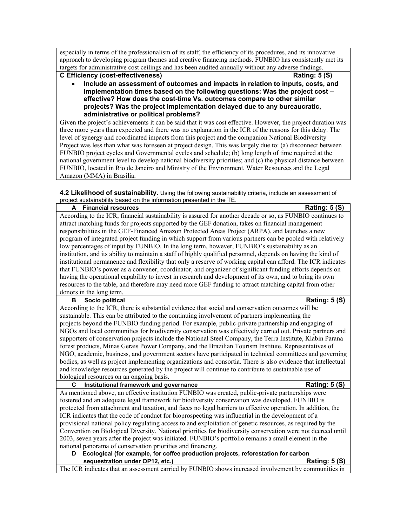especially in terms of the professionalism of its staff, the efficiency of its procedures, and its innovative approach to developing program themes and creative financing methods. FUNBIO has consistently met its targets for administrative cost ceilings and has been audited annually without any adverse findings.

**C Efficiency (cost-effectiveness) Rating: 5 (S)**

• **Include an assessment of outcomes and impacts in relation to inputs, costs, and implementation times based on the following questions: Was the project cost – effective? How does the cost-time Vs. outcomes compare to other similar projects? Was the project implementation delayed due to any bureaucratic, administrative or political problems?**

Given the project's achievements it can be said that it was cost effective. However, the project duration was three more years than expected and there was no explanation in the ICR of the reasons for this delay. The level of synergy and coordinated impacts from this project and the companion National Biodiversity Project was less than what was foreseen at project design. This was largely due to: (a) disconnect between FUNBIO project cycles and Governmental cycles and schedule; (b) long length of time required at the national government level to develop national biodiversity priorities; and (c) the physical distance between FUNBIO, located in Rio de Janeiro and Ministry of the Environment, Water Resources and the Legal Amazon (MMA) in Brasilia.

**4.2 Likelihood of sustainability.** Using the following sustainability criteria, include an assessment of project sustainability based on the information presented in the TE.

| <b>Rating: 5 (S)</b><br><b>Financial resources</b><br>A                                                       |
|---------------------------------------------------------------------------------------------------------------|
| According to the ICR, financial sustainability is assured for another decade or so, as FUNBIO continues to    |
| attract matching funds for projects supported by the GEF donation, takes on financial management              |
| responsibilities in the GEF-Financed Amazon Protected Areas Project (ARPA), and launches a new                |
| program of integrated project funding in which support from various partners can be pooled with relatively    |
| low percentages of input by FUNBIO. In the long term, however, FUNBIO's sustainability as an                  |
| institution, and its ability to maintain a staff of highly qualified personnel, depends on having the kind of |
| institutional permanence and flexibility that only a reserve of working capital can afford. The ICR indicates |
| that FUNBIO's power as a convener, coordinator, and organizer of significant funding efforts depends on       |
| having the operational capability to invest in research and development of its own, and to bring its own      |
| resources to the table, and therefore may need more GEF funding to attract matching capital from other        |
| donors in the long term.                                                                                      |
| Socio political<br><b>Rating: 5 (S)</b><br>в                                                                  |
| According to the ICR, there is substantial evidence that social and conservation outcomes will be             |
| sustainable. This can be attributed to the continuing involvement of partners implementing the                |
| projects beyond the FUNBIO funding period. For example, public-private partnership and engaging of            |
| NGOs and local communities for biodiversity conservation was effectively carried out. Private partners and    |
| supporters of conservation projects include the National Steel Company, the Terra Institute, Klabin Parana    |
| forest products, Minas Gerais Power Company, and the Brazilian Tourism Institute. Representatives of          |
| NGO, academic, business, and government sectors have participated in technical committees and governing       |
| bodies, as well as project implementing organizations and consortia. There is also evidence that intellectual |
| and knowledge resources generated by the project will continue to contribute to sustainable use of            |
| biological resources on an ongoing basis.                                                                     |
| <b>Rating: 5 (S)</b><br>C<br>Institutional framework and governance                                           |
| As mentioned above, an effective institution FUNBIO was created, public-private partnerships were             |
| fostered and an adequate legal framework for biodiversity conservation was developed. FUNBIO is               |
| protected from attachment and taxation, and faces no legal barriers to effective operation. In addition, the  |
| ICR indicates that the code of conduct for bioprospecting was influential in the development of a             |
| provisional national policy regulating access to and exploitation of genetic resources, as required by the    |
| Convention on Biological Diversity. National priorities for biodiversity conservation were not decreed until  |
| 2003, seven years after the project was initiated. FUNBIO's portfolio remains a small element in the          |
| national panorama of conservation priorities and financing.                                                   |
| Ecological (for example, for coffee production projects, reforestation for carbon<br>D                        |
| sequestration under OP12, etc.)<br><b>Rating: 5 (S)</b>                                                       |

The ICR indicates that an assessment carried by FUNBIO shows increased involvement by communities in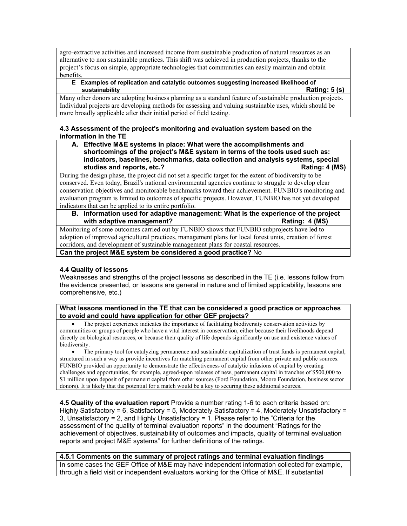agro-extractive activities and increased income from sustainable production of natural resources as an alternative to non sustainable practices. This shift was achieved in production projects, thanks to the project's focus on simple, appropriate technologies that communities can easily maintain and obtain benefits.

#### **E Examples of replication and catalytic outcomes suggesting increased likelihood of sustainability Rating: 5 (s)**

Many other donors are adopting business planning as a standard feature of sustainable production projects. Individual projects are developing methods for assessing and valuing sustainable uses, which should be more broadly applicable after their initial period of field testing.

## **4.3 Assessment of the project's monitoring and evaluation system based on the information in the TE**

**A. Effective M&E systems in place: What were the accomplishments and shortcomings of the project's M&E system in terms of the tools used such as: indicators, baselines, benchmarks, data collection and analysis systems, special studies and reports, etc.? Rating: 4 (MS)**

During the design phase, the project did not set a specific target for the extent of biodiversity to be conserved. Even today, Brazil's national environmental agencies continue to struggle to develop clear conservation objectives and monitorable benchmarks toward their achievement. FUNBIO's monitoring and evaluation program is limited to outcomes of specific projects. However, FUNBIO has not yet developed indicators that can be applied to its entire portfolio.

**B. Information used for adaptive management: What is the experience of the project with adaptive management? Rating: 4 (MS) Rating: 4 (MS)** 

Monitoring of some outcomes carried out by FUNBIO shows that FUNBIO subprojects have led to adoption of improved agricultural practices, management plans for local forest units, creation of forest corridors, and development of sustainable management plans for coastal resources.

**Can the project M&E system be considered a good practice?** No

# **4.4 Quality of lessons**

Weaknesses and strengths of the project lessons as described in the TE (i.e. lessons follow from the evidence presented, or lessons are general in nature and of limited applicability, lessons are comprehensive, etc.)

## **What lessons mentioned in the TE that can be considered a good practice or approaches to avoid and could have application for other GEF projects?**

• The project experience indicates the importance of facilitating biodiversity conservation activities by communities or groups of people who have a vital interest in conservation, either because their livelihoods depend directly on biological resources, or because their quality of life depends significantly on use and existence values of biodiversity.

• The primary tool for catalyzing permanence and sustainable capitalization of trust funds is permanent capital, structured in such a way as provide incentives for matching permanent capital from other private and public sources. FUNBIO provided an opportunity to demonstrate the effectiveness of catalytic infusions of capital by creating challenges and opportunities, for example, agreed-upon releases of new, permanent capital in tranches of \$500,000 to \$1 million upon deposit of permanent capital from other sources (Ford Foundation, Moore Foundation, business sector donors). It is likely that the potential for a match would be a key to securing these additional sources.

**4.5 Quality of the evaluation report** Provide a number rating 1-6 to each criteria based on: Highly Satisfactory = 6, Satisfactory = 5, Moderately Satisfactory = 4, Moderately Unsatisfactory = 3, Unsatisfactory = 2, and Highly Unsatisfactory = 1. Please refer to the "Criteria for the assessment of the quality of terminal evaluation reports" in the document "Ratings for the achievement of objectives, sustainability of outcomes and impacts, quality of terminal evaluation reports and project M&E systems" for further definitions of the ratings.

**4.5.1 Comments on the summary of project ratings and terminal evaluation findings** In some cases the GEF Office of M&E may have independent information collected for example, through a field visit or independent evaluators working for the Office of M&E. If substantial